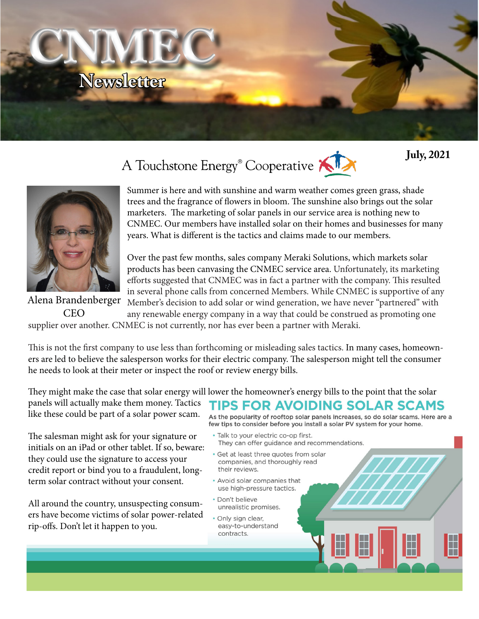

# A Touchstone Energy<sup>®</sup> Cooperative





Summer is here and with sunshine and warm weather comes green grass, shade trees and the fragrance of flowers in bloom. The sunshine also brings out the solar marketers. The marketing of solar panels in our service area is nothing new to CNMEC. Our members have installed solar on their homes and businesses for many years. What is different is the tactics and claims made to our members.

Over the past few months, sales company Meraki Solutions, which markets solar products has been canvasing the CNMEC service area. Unfortunately, its marketing efforts suggested that CNMEC was in fact a partner with the company. This resulted in several phone calls from concerned Members. While CNMEC is supportive of any Member's decision to add solar or wind generation, we have never "partnered" with

any renewable energy company in a way that could be construed as promoting one supplier over another. CNMEC is not currently, nor has ever been a partner with Meraki. CEO

This is not the first company to use less than forthcoming or misleading sales tactics. In many cases, homeowners are led to believe the salesperson works for their electric company. The salesperson might tell the consumer he needs to look at their meter or inspect the roof or review energy bills.

They might make the case that solar energy will lower the homeowner's energy bills to the point that the solar panels will actually make them money. Tactics like these could be part of a solar power scam.

The salesman might ask for your signature or initials on an iPad or other tablet. If so, beware: they could use the signature to access your credit report or bind you to a fraudulent, longterm solar contract without your consent.

All around the country, unsuspecting consumers have become victims of solar power-related rip-offs. Don't let it happen to you.

## **TIPS FOR AVOIDING SOLAR SCAMS**

As the popularity of rooftop solar panels increases, so do solar scams. Here are a few tips to consider before you install a solar PV system for your home.

- · Talk to your electric co-op first. They can offer guidance and recommendations.
- · Get at least three quotes from solar companies, and thoroughly read their reviews.
- Avoid solar companies that use high-pressure tactics.
- · Don't believe unrealistic promises.
- · Only sign clear, easy-to-understand contracts.